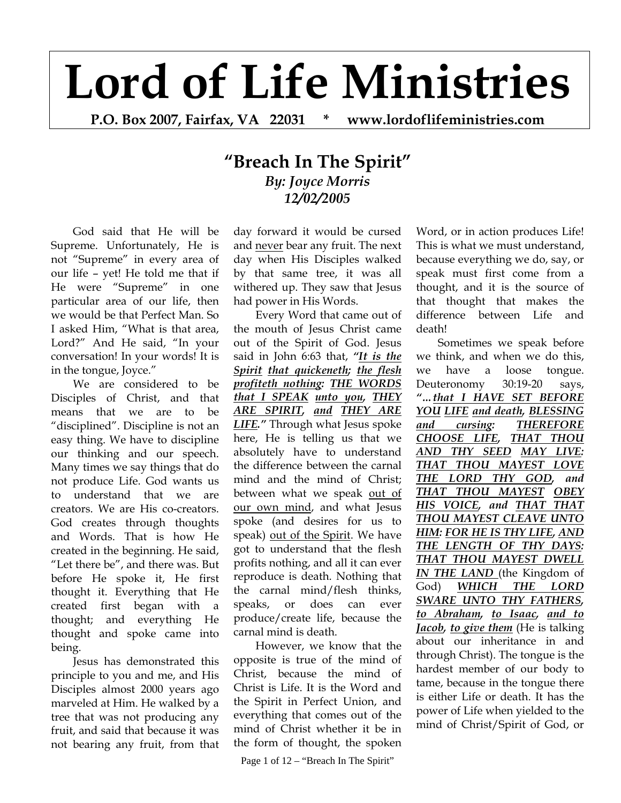## **Lord of Life Ministries**

**P.O. Box 2007, Fairfax, VA 22031 \* www.lordoflifeministries.com** 

## **"Breach In The Spirit"** *By: Joyce Morris 12/02/2005*

God said that He will be Supreme. Unfortunately, He is not "Supreme" in every area of our life – yet! He told me that if He were "Supreme" in one particular area of our life, then we would be that Perfect Man. So I asked Him, "What is that area, Lord?" And He said, "In your conversation! In your words! It is in the tongue, Joyce."

We are considered to be Disciples of Christ, and that means that we are to be "disciplined". Discipline is not an easy thing. We have to discipline our thinking and our speech. Many times we say things that do not produce Life. God wants us to understand that we are creators. We are His co-creators. God creates through thoughts and Words. That is how He created in the beginning. He said, "Let there be", and there was. But before He spoke it, He first thought it. Everything that He created first began with a thought; and everything He thought and spoke came into being.

Jesus has demonstrated this principle to you and me, and His Disciples almost 2000 years ago marveled at Him. He walked by a tree that was not producing any fruit, and said that because it was not bearing any fruit, from that

day forward it would be cursed and never bear any fruit. The next day when His Disciples walked by that same tree, it was all withered up. They saw that Jesus had power in His Words.

Every Word that came out of the mouth of Jesus Christ came out of the Spirit of God. Jesus said in John 6:63 that, *"It is the Spirit that quickeneth; the flesh profiteth nothing: THE WORDS that I SPEAK unto you, THEY ARE SPIRIT, and THEY ARE LIFE."* Through what Jesus spoke here, He is telling us that we absolutely have to understand the difference between the carnal mind and the mind of Christ; between what we speak out of our own mind, and what Jesus spoke (and desires for us to speak) out of the Spirit. We have got to understand that the flesh profits nothing, and all it can ever reproduce is death. Nothing that the carnal mind/flesh thinks, speaks, or does can ever produce/create life, because the carnal mind is death.

However, we know that the opposite is true of the mind of Christ, because the mind of Christ is Life. It is the Word and the Spirit in Perfect Union, and everything that comes out of the mind of Christ whether it be in the form of thought, the spoken

Page 1 of  $12 -$  "Breach In The Spirit"

Word, or in action produces Life! This is what we must understand, because everything we do, say, or speak must first come from a thought, and it is the source of that thought that makes the difference between Life and death!

Sometimes we speak before we think, and when we do this, we have a loose tongue. Deuteronomy 30:19-20 says, *"…that I HAVE SET BEFORE YOU LIFE and death, BLESSING and cursing: THEREFORE CHOOSE LIFE, THAT THOU AND THY SEED MAY LIVE: THAT THOU MAYEST LOVE THE LORD THY GOD, and THAT THOU MAYEST OBEY HIS VOICE, and THAT THAT THOU MAYEST CLEAVE UNTO HIM: FOR HE IS THY LIFE, AND THE LENGTH OF THY DAYS: THAT THOU MAYEST DWELL IN THE LAND* (the Kingdom of God) *WHICH THE LORD SWARE UNTO THY FATHERS, to Abraham, to Isaac, and to Jacob, to give them* (He is talking about our inheritance in and through Christ). The tongue is the hardest member of our body to tame, because in the tongue there is either Life or death. It has the power of Life when yielded to the mind of Christ/Spirit of God, or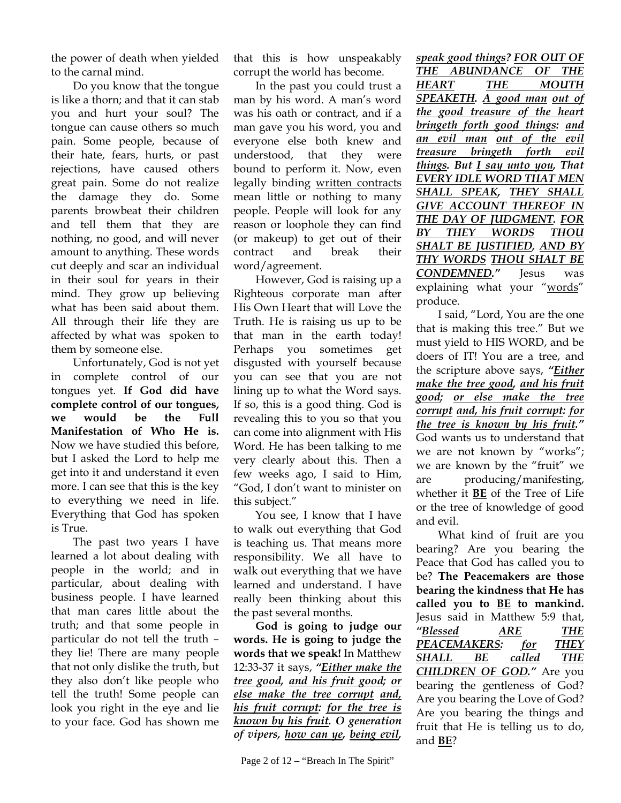the power of death when yielded to the carnal mind.

Do you know that the tongue is like a thorn; and that it can stab you and hurt your soul? The tongue can cause others so much pain. Some people, because of their hate, fears, hurts, or past rejections, have caused others great pain. Some do not realize the damage they do. Some parents browbeat their children and tell them that they are nothing, no good, and will never amount to anything. These words cut deeply and scar an individual in their soul for years in their mind. They grow up believing what has been said about them. All through their life they are affected by what was spoken to them by someone else.

Unfortunately, God is not yet in complete control of our tongues yet. **If God did have complete control of our tongues, we would be the Full Manifestation of Who He is.** Now we have studied this before, but I asked the Lord to help me get into it and understand it even more. I can see that this is the key to everything we need in life. Everything that God has spoken is True.

The past two years I have learned a lot about dealing with people in the world; and in particular, about dealing with business people. I have learned that man cares little about the truth; and that some people in particular do not tell the truth – they lie! There are many people that not only dislike the truth, but they also don't like people who tell the truth! Some people can look you right in the eye and lie to your face. God has shown me

that this is how unspeakably corrupt the world has become.

In the past you could trust a man by his word. A man's word was his oath or contract, and if a man gave you his word, you and everyone else both knew and understood, that they were bound to perform it. Now, even legally binding written contracts mean little or nothing to many people. People will look for any reason or loophole they can find (or makeup) to get out of their contract and break their word/agreement.

However, God is raising up a Righteous corporate man after His Own Heart that will Love the Truth. He is raising us up to be that man in the earth today! Perhaps you sometimes get disgusted with yourself because you can see that you are not lining up to what the Word says. If so, this is a good thing. God is revealing this to you so that you can come into alignment with His Word. He has been talking to me very clearly about this. Then a few weeks ago, I said to Him, "God, I don't want to minister on this subject."

You see, I know that I have to walk out everything that God is teaching us. That means more responsibility. We all have to walk out everything that we have learned and understand. I have really been thinking about this the past several months.

**God is going to judge our words. He is going to judge the words that we speak!** In Matthew 12:33-37 it says, *"Either make the tree good, and his fruit good; or else make the tree corrupt and, his fruit corrupt: for the tree is known by his fruit. O generation of vipers, how can ye, being evil,* 

*speak good things? FOR OUT OF THE ABUNDANCE OF THE HEART THE MOUTH SPEAKETH. A good man out of the good treasure of the heart bringeth forth good things: and an evil man out of the evil treasure bringeth forth evil things. But I say unto you, That EVERY IDLE WORD THAT MEN SHALL SPEAK, THEY SHALL GIVE ACCOUNT THEREOF IN THE DAY OF JUDGMENT. FOR BY THEY WORDS THOU SHALT BE JUSTIFIED, AND BY THY WORDS THOU SHALT BE CONDEMNED."* Jesus was explaining what your "words" produce.

I said, "Lord, You are the one that is making this tree." But we must yield to HIS WORD, and be doers of IT! You are a tree, and the scripture above says, *"Either make the tree good, and his fruit good; or else make the tree corrupt and, his fruit corrupt: for the tree is known by his fruit."* God wants us to understand that we are not known by "works"; we are known by the "fruit" we are producing/manifesting, whether it **BE** of the Tree of Life or the tree of knowledge of good and evil.

What kind of fruit are you bearing? Are you bearing the Peace that God has called you to be? **The Peacemakers are those bearing the kindness that He has called you to BE to mankind.** Jesus said in Matthew 5:9 that, *"Blessed ARE THE PEACEMAKERS: for THEY SHALL BE called THE CHILDREN OF GOD."* Are you bearing the gentleness of God? Are you bearing the Love of God? Are you bearing the things and fruit that He is telling us to do, and **BE**?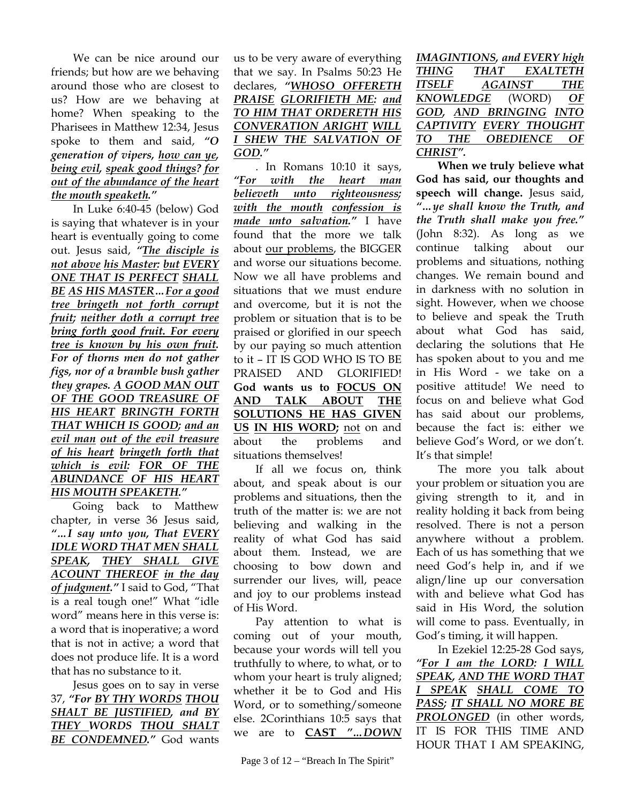We can be nice around our friends; but how are we behaving around those who are closest to us? How are we behaving at home? When speaking to the Pharisees in Matthew 12:34, Jesus spoke to them and said, *"O generation of vipers, how can ye, being evil, speak good things? for out of the abundance of the heart the mouth speaketh."*

In Luke 6:40-45 (below) God is saying that whatever is in your heart is eventually going to come out. Jesus said, *"The disciple is not above his Master: but EVERY ONE THAT IS PERFECT SHALL BE AS HIS MASTER…For a good tree bringeth not forth corrupt fruit; neither doth a corrupt tree bring forth good fruit. For every tree is known by his own fruit. For of thorns men do not gather figs, nor of a bramble bush gather they grapes. A GOOD MAN OUT OF THE GOOD TREASURE OF HIS HEART BRINGTH FORTH THAT WHICH IS GOOD; and an evil man out of the evil treasure of his heart bringeth forth that which is evil: FOR OF THE ABUNDANCE OF HIS HEART HIS MOUTH SPEAKETH."* 

Going back to Matthew chapter, in verse 36 Jesus said, *"…I say unto you, That EVERY IDLE WORD THAT MEN SHALL SPEAK, THEY SHALL GIVE ACOUNT THEREOF in the day of judgment."* I said to God, "That is a real tough one!" What "idle word" means here in this verse is: a word that is inoperative; a word that is not in active; a word that does not produce life. It is a word that has no substance to it.

Jesus goes on to say in verse 37, *"For BY THY WORDS THOU SHALT BE JUSTIFIED, and BY THEY WORDS THOU SHALT BE CONDEMNED."* God wants

us to be very aware of everything that we say. In Psalms 50:23 He declares, *"WHOSO OFFERETH PRAISE GLORIFIETH ME: and TO HIM THAT ORDERETH HIS CONVERATION ARIGHT WILL I SHEW THE SALVATION OF GOD."*

. In Romans 10:10 it says, *"For with the heart man believeth unto righteousness; with the mouth confession is made unto salvation."* I have found that the more we talk about our problems, the BIGGER and worse our situations become. Now we all have problems and situations that we must endure and overcome, but it is not the problem or situation that is to be praised or glorified in our speech by our paying so much attention to it – IT IS GOD WHO IS TO BE PRAISED AND GLORIFIED! **God wants us to FOCUS ON AND TALK ABOUT THE SOLUTIONS HE HAS GIVEN US IN HIS WORD;** not on and about the problems and situations themselves!

If all we focus on, think about, and speak about is our problems and situations, then the truth of the matter is: we are not believing and walking in the reality of what God has said about them. Instead, we are choosing to bow down and surrender our lives, will, peace and joy to our problems instead of His Word.

Pay attention to what is coming out of your mouth, because your words will tell you truthfully to where, to what, or to whom your heart is truly aligned; whether it be to God and His Word, or to something/someone else. 2Corinthians 10:5 says that we are to **CAST** *"…DOWN*

*IMAGINTIONS, and EVERY high THING THAT EXALTETH ITSELF AGAINST THE KNOWLEDGE* (WORD) *OF GOD, AND BRINGING INTO CAPTIVITY EVERY THOUGHT TO THE OBEDIENCE OF CHRIST".*

**When we truly believe what God has said, our thoughts and speech will change.** Jesus said, *"…ye shall know the Truth, and the Truth shall make you free."* (John 8:32). As long as we continue talking about our problems and situations, nothing changes. We remain bound and in darkness with no solution in sight. However, when we choose to believe and speak the Truth about what God has said, declaring the solutions that He has spoken about to you and me in His Word - we take on a positive attitude! We need to focus on and believe what God has said about our problems, because the fact is: either we believe God's Word, or we don't. It's that simple!

The more you talk about your problem or situation you are giving strength to it, and in reality holding it back from being resolved. There is not a person anywhere without a problem. Each of us has something that we need God's help in, and if we align/line up our conversation with and believe what God has said in His Word, the solution will come to pass. Eventually, in God's timing, it will happen.

In Ezekiel 12:25-28 God says, *"For I am the LORD: I WILL SPEAK, AND THE WORD THAT I SPEAK SHALL COME TO PASS; IT SHALL NO MORE BE PROLONGED* (in other words, IT IS FOR THIS TIME AND HOUR THAT I AM SPEAKING,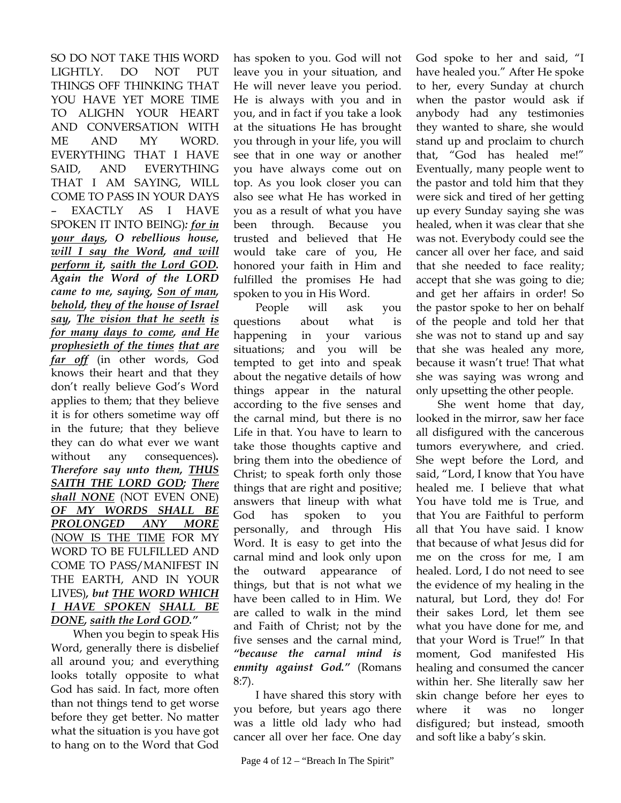SO DO NOT TAKE THIS WORD LIGHTLY. DO NOT PUT THINGS OFF THINKING THAT YOU HAVE YET MORE TIME TO ALIGHN YOUR HEART AND CONVERSATION WITH ME AND MY WORD. EVERYTHING THAT I HAVE SAID, AND EVERYTHING THAT I AM SAYING, WILL COME TO PASS IN YOUR DAYS – EXACTLY AS I HAVE SPOKEN IT INTO BEING)*: for in your days, O rebellious house, will I say the Word, and will perform it, saith the Lord GOD. Again the Word of the LORD came to me, saying, Son of man, behold, they of the house of Israel say, The vision that he seeth is for many days to come, and He prophesieth of the times that are far off* (in other words, God knows their heart and that they don't really believe God's Word applies to them; that they believe it is for others sometime way off in the future; that they believe they can do what ever we want without any consequences)*. Therefore say unto them, THUS SAITH THE LORD GOD; There shall NONE* (NOT EVEN ONE) *OF MY WORDS SHALL BE PROLONGED ANY MORE* (NOW IS THE TIME FOR MY WORD TO BE FULFILLED AND COME TO PASS/MANIFEST IN THE EARTH, AND IN YOUR LIVES)*, but THE WORD WHICH I HAVE SPOKEN SHALL BE DONE, saith the Lord GOD."*

When you begin to speak His Word, generally there is disbelief all around you; and everything looks totally opposite to what God has said. In fact, more often than not things tend to get worse before they get better. No matter what the situation is you have got to hang on to the Word that God

has spoken to you. God will not leave you in your situation, and He will never leave you period. He is always with you and in you, and in fact if you take a look at the situations He has brought you through in your life, you will see that in one way or another you have always come out on top. As you look closer you can also see what He has worked in you as a result of what you have been through. Because you trusted and believed that He would take care of you, He honored your faith in Him and fulfilled the promises He had spoken to you in His Word.

People will ask you questions about what is happening in your various situations; and you will be tempted to get into and speak about the negative details of how things appear in the natural according to the five senses and the carnal mind, but there is no Life in that. You have to learn to take those thoughts captive and bring them into the obedience of Christ; to speak forth only those things that are right and positive; answers that lineup with what God has spoken to you personally, and through His Word. It is easy to get into the carnal mind and look only upon the outward appearance of things, but that is not what we have been called to in Him. We are called to walk in the mind and Faith of Christ; not by the five senses and the carnal mind, *"because the carnal mind is enmity against God."* (Romans 8:7).

I have shared this story with you before, but years ago there was a little old lady who had cancer all over her face. One day God spoke to her and said, "I have healed you." After He spoke to her, every Sunday at church when the pastor would ask if anybody had any testimonies they wanted to share, she would stand up and proclaim to church that, "God has healed me!" Eventually, many people went to the pastor and told him that they were sick and tired of her getting up every Sunday saying she was healed, when it was clear that she was not. Everybody could see the cancer all over her face, and said that she needed to face reality; accept that she was going to die; and get her affairs in order! So the pastor spoke to her on behalf of the people and told her that she was not to stand up and say that she was healed any more, because it wasn't true! That what she was saying was wrong and only upsetting the other people.

She went home that day, looked in the mirror, saw her face all disfigured with the cancerous tumors everywhere, and cried. She wept before the Lord, and said, "Lord, I know that You have healed me. I believe that what You have told me is True, and that You are Faithful to perform all that You have said. I know that because of what Jesus did for me on the cross for me, I am healed. Lord, I do not need to see the evidence of my healing in the natural, but Lord, they do! For their sakes Lord, let them see what you have done for me, and that your Word is True!" In that moment, God manifested His healing and consumed the cancer within her. She literally saw her skin change before her eyes to where it was no longer disfigured; but instead, smooth and soft like a baby's skin.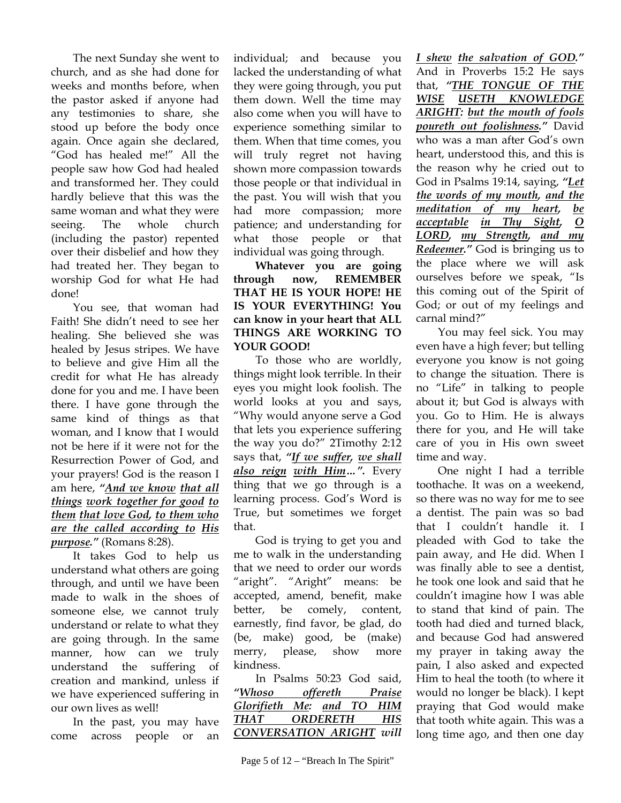The next Sunday she went to church, and as she had done for weeks and months before, when the pastor asked if anyone had any testimonies to share, she stood up before the body once again. Once again she declared, "God has healed me!" All the people saw how God had healed and transformed her. They could hardly believe that this was the same woman and what they were seeing. The whole church (including the pastor) repented over their disbelief and how they had treated her. They began to worship God for what He had done!

You see, that woman had Faith! She didn't need to see her healing. She believed she was healed by Jesus stripes. We have to believe and give Him all the credit for what He has already done for you and me. I have been there. I have gone through the same kind of things as that woman, and I know that I would not be here if it were not for the Resurrection Power of God, and your prayers! God is the reason I am here, *"And we know that all things work together for good to them that love God, to them who are the called according to His purpose."* (Romans 8:28).

It takes God to help us understand what others are going through, and until we have been made to walk in the shoes of someone else, we cannot truly understand or relate to what they are going through. In the same manner, how can we truly understand the suffering of creation and mankind, unless if we have experienced suffering in our own lives as well!

In the past, you may have come across people or an individual; and because you lacked the understanding of what they were going through, you put them down. Well the time may also come when you will have to experience something similar to them. When that time comes, you will truly regret not having shown more compassion towards those people or that individual in the past. You will wish that you had more compassion; more patience; and understanding for what those people or that individual was going through.

**Whatever you are going through now, REMEMBER THAT HE IS YOUR HOPE! HE IS YOUR EVERYTHING! You can know in your heart that ALL THINGS ARE WORKING TO YOUR GOOD!**

To those who are worldly, things might look terrible. In their eyes you might look foolish. The world looks at you and says, "Why would anyone serve a God that lets you experience suffering the way you do?" 2Timothy 2:12 says that, *"If we suffer, we shall also reign with Him…".* Every thing that we go through is a learning process. God's Word is True, but sometimes we forget that.

God is trying to get you and me to walk in the understanding that we need to order our words "aright". "Aright" means: be accepted, amend, benefit, make better, be comely, content, earnestly, find favor, be glad, do (be, make) good, be (make) merry, please, show more kindness.

In Psalms 50:23 God said, *"Whoso offereth Praise Glorifieth Me: and TO HIM THAT ORDERETH HIS CONVERSATION ARIGHT will*  *I shew the salvation of GOD."* And in Proverbs 15:2 He says that, *"THE TONGUE OF THE WISE USETH KNOWLEDGE ARIGHT: but the mouth of fools poureth out foolishness."* David who was a man after God's own heart, understood this, and this is the reason why he cried out to God in Psalms 19:14, saying, *"Let the words of my mouth, and the meditation of my heart, be acceptable in Thy Sight, O LORD, my Strength, and my Redeemer."* God is bringing us to the place where we will ask ourselves before we speak, "Is this coming out of the Spirit of God; or out of my feelings and carnal mind?"

You may feel sick. You may even have a high fever; but telling everyone you know is not going to change the situation. There is no "Life" in talking to people about it; but God is always with you. Go to Him. He is always there for you, and He will take care of you in His own sweet time and way.

One night I had a terrible toothache. It was on a weekend, so there was no way for me to see a dentist. The pain was so bad that I couldn't handle it. I pleaded with God to take the pain away, and He did. When I was finally able to see a dentist, he took one look and said that he couldn't imagine how I was able to stand that kind of pain. The tooth had died and turned black, and because God had answered my prayer in taking away the pain, I also asked and expected Him to heal the tooth (to where it would no longer be black). I kept praying that God would make that tooth white again. This was a long time ago, and then one day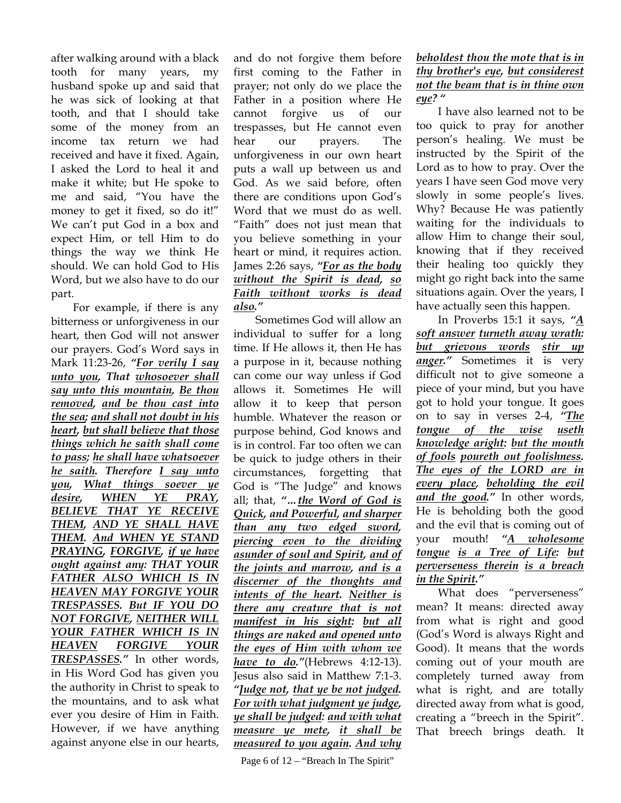after walking around with a black tooth for many years, my husband spoke up and said that he was sick of looking at that tooth, and that I should take some of the money from an income tax return we had received and have it fixed. Again, I asked the Lord to heal it and make it white; but He spoke to me and said, "You have the money to get it fixed, so do it!" We can't put God in a box and expect Him, or tell Him to do things the way we think He should. We can hold God to His Word, but we also have to do our part.

For example, if there is any bitterness or unforgiveness in our heart, then God will not answer our prayers. God's Word says in Mark 11:23-26, *"For verily I say unto you, That whosoever shall say unto this mountain, Be thou removed, and be thou cast into the sea; and shall not doubt in his heart, but shall believe that those things which he saith shall come to pass; he shall have whatsoever he saith. Therefore I say unto you, What things soever ye desire, WHEN YE PRAY, BELIEVE THAT YE RECEIVE THEM, AND YE SHALL HAVE THEM. And WHEN YE STAND PRAYING, FORGIVE, if ye have ought against any: THAT YOUR FATHER ALSO WHICH IS IN HEAVEN MAY FORGIVE YOUR TRESPASSES. But IF YOU DO NOT FORGIVE, NEITHER WILL YOUR FATHER WHICH IS IN HEAVEN FORGIVE YOUR TRESPASSES."* In other words, in His Word God has given you the authority in Christ to speak to the mountains, and to ask what ever you desire of Him in Faith. However, if we have anything against anyone else in our hearts,

and do not forgive them before first coming to the Father in prayer; not only do we place the Father in a position where He cannot forgive us of our trespasses, but He cannot even hear our prayers. The unforgiveness in our own heart puts a wall up between us and God. As we said before, often there are conditions upon God's Word that we must do as well. "Faith" does not just mean that you believe something in your heart or mind, it requires action. James 2:26 says, *"For as the body without the Spirit is dead, so Faith without works is dead also."*

Sometimes God will allow an individual to suffer for a long time. If He allows it, then He has a purpose in it, because nothing can come our way unless if God allows it. Sometimes He will allow it to keep that person humble. Whatever the reason or purpose behind, God knows and is in control. Far too often we can be quick to judge others in their circumstances, forgetting that God is "The Judge" and knows all; that, *"…the Word of God is Quick, and Powerful, and sharper than any two edged sword, piercing even to the dividing asunder of soul and Spirit, and of the joints and marrow, and is a discerner of the thoughts and intents of the heart. Neither is there any creature that is not manifest in his sight: but all things are naked and opened unto the eyes of Him with whom we have to do."*(Hebrews 4:12-13). Jesus also said in Matthew 7:1-3. *"Judge not, that ye be not judged. For with what judgment ye judge, ye shall be judged: and with what measure ye mete, it shall be measured to you again. And why* 

## *beholdest thou the mote that is in thy brother's eye, but considerest not the beam that is in thine own eye? "*

I have also learned not to be too quick to pray for another person's healing. We must be instructed by the Spirit of the Lord as to how to pray. Over the years I have seen God move very slowly in some people's lives. Why? Because He was patiently waiting for the individuals to allow Him to change their soul, knowing that if they received their healing too quickly they might go right back into the same situations again. Over the years, I have actually seen this happen.

In Proverbs 15:1 it says, *"A soft answer turneth away wrath: but grievous words stir up anger."* Sometimes it is very difficult not to give someone a piece of your mind, but you have got to hold your tongue. It goes on to say in verses 2-4, *"The tongue of the wise useth knowledge aright: but the mouth of fools poureth out foolishness. The eyes of the LORD are in every place, beholding the evil and the good."* In other words, He is beholding both the good and the evil that is coming out of your mouth! *"A wholesome tongue is a Tree of Life: but perverseness therein is a breach in the Spirit."* 

What does "perverseness" mean? It means: directed away from what is right and good (God's Word is always Right and Good). It means that the words coming out of your mouth are completely turned away from what is right, and are totally directed away from what is good, creating a "breech in the Spirit". That breech brings death. It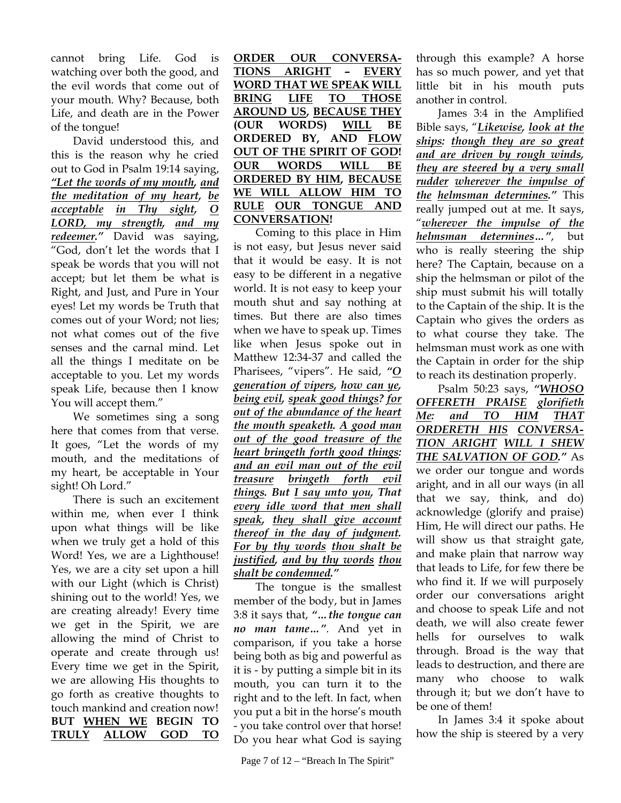cannot bring Life. God is watching over both the good, and the evil words that come out of your mouth. Why? Because, both Life, and death are in the Power of the tongue!

David understood this, and this is the reason why he cried out to God in Psalm 19:14 saying, *"Let the words of my mouth, and the meditation of my heart, be acceptable in Thy sight, O LORD, my strength, and my redeemer."* David was saying, "God, don't let the words that I speak be words that you will not accept; but let them be what is Right, and Just, and Pure in Your eyes! Let my words be Truth that comes out of your Word; not lies; not what comes out of the five senses and the carnal mind. Let all the things I meditate on be acceptable to you. Let my words speak Life, because then I know You will accept them."

We sometimes sing a song here that comes from that verse. It goes, "Let the words of my mouth, and the meditations of my heart, be acceptable in Your sight! Oh Lord."

There is such an excitement within me, when ever I think upon what things will be like when we truly get a hold of this Word! Yes, we are a Lighthouse! Yes, we are a city set upon a hill with our Light (which is Christ) shining out to the world! Yes, we are creating already! Every time we get in the Spirit, we are allowing the mind of Christ to operate and create through us! Every time we get in the Spirit, we are allowing His thoughts to go forth as creative thoughts to touch mankind and creation now! **BUT WHEN WE BEGIN TO TRULY ALLOW GOD TO**  **ORDER OUR CONVERSA-TIONS ARIGHT – EVERY WORD THAT WE SPEAK WILL BRING LIFE TO THOSE AROUND US, BECAUSE THEY (OUR WORDS) WILL BE ORDERED BY, AND FLOW OUT OF THE SPIRIT OF GOD! OUR WORDS WILL BE ORDERED BY HIM, BECAUSE WE WILL ALLOW HIM TO RULE OUR TONGUE AND CONVERSATION!** 

Coming to this place in Him is not easy, but Jesus never said that it would be easy. It is not easy to be different in a negative world. It is not easy to keep your mouth shut and say nothing at times. But there are also times when we have to speak up. Times like when Jesus spoke out in Matthew 12:34-37 and called the Pharisees, "vipers". He said, *"O generation of vipers, how can ye, being evil, speak good things? for out of the abundance of the heart the mouth speaketh. A good man out of the good treasure of the heart bringeth forth good things: and an evil man out of the evil treasure bringeth forth evil things. But I say unto you, That every idle word that men shall speak, they shall give account thereof in the day of judgment. For by thy words thou shalt be justified, and by thy words thou shalt be condemned."*

The tongue is the smallest member of the body, but in James 3:8 it says that, *"…the tongue can no man tame…"*. And yet in comparison, if you take a horse being both as big and powerful as it is - by putting a simple bit in its mouth, you can turn it to the right and to the left. In fact, when you put a bit in the horse's mouth - you take control over that horse! Do you hear what God is saying through this example? A horse has so much power, and yet that little bit in his mouth puts another in control.

James 3:4 in the Amplified Bible says, "*Likewise, look at the ships: though they are so great and are driven by rough winds, they are steered by a very small rudder wherever the impulse of the helmsman determines."* This really jumped out at me. It says, "*wherever the impulse of the helmsman determines…"*, but who is really steering the ship here? The Captain, because on a ship the helmsman or pilot of the ship must submit his will totally to the Captain of the ship. It is the Captain who gives the orders as to what course they take. The helmsman must work as one with the Captain in order for the ship to reach its destination properly.

Psalm 50:23 says, *"WHOSO OFFERETH PRAISE glorifieth Me: and TO HIM THAT ORDERETH HIS CONVERSA-TION ARIGHT WILL I SHEW THE SALVATION OF GOD."* As we order our tongue and words aright, and in all our ways (in all that we say, think, and do) acknowledge (glorify and praise) Him, He will direct our paths. He will show us that straight gate, and make plain that narrow way that leads to Life, for few there be who find it. If we will purposely order our conversations aright and choose to speak Life and not death, we will also create fewer hells for ourselves to walk through. Broad is the way that leads to destruction, and there are many who choose to walk through it; but we don't have to be one of them!

 In James 3:4 it spoke about how the ship is steered by a very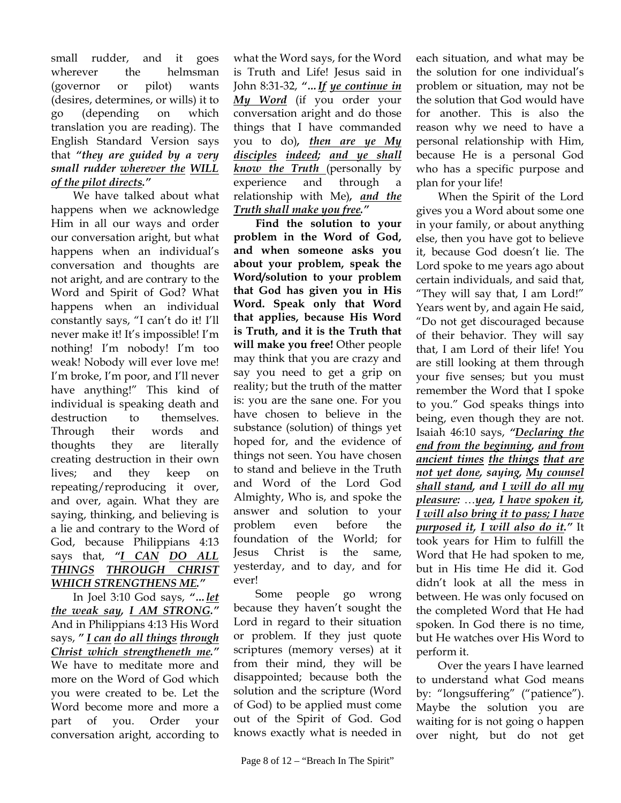small rudder, and it goes wherever the helmsman (governor or pilot) wants (desires, determines, or wills) it to go (depending on which translation you are reading). The English Standard Version says that *"they are guided by a very small rudder wherever the WILL of the pilot directs."* 

We have talked about what happens when we acknowledge Him in all our ways and order our conversation aright, but what happens when an individual's conversation and thoughts are not aright, and are contrary to the Word and Spirit of God? What happens when an individual constantly says, "I can't do it! I'll never make it! It's impossible! I'm nothing! I'm nobody! I'm too weak! Nobody will ever love me! I'm broke, I'm poor, and I'll never have anything!" This kind of individual is speaking death and destruction to themselves. Through their words and thoughts they are literally creating destruction in their own lives; and they keep on repeating/reproducing it over, and over, again. What they are saying, thinking, and believing is a lie and contrary to the Word of God, because Philippians 4:13 says that, *"I CAN DO ALL THINGS THROUGH CHRIST WHICH STRENGTHENS ME."* 

In Joel 3:10 God says, *"…let the weak say, I AM STRONG."*  And in Philippians 4:13 His Word says, *" I can do all things through Christ which strengtheneth me."* We have to meditate more and more on the Word of God which you were created to be. Let the Word become more and more a part of you. Order your conversation aright, according to

what the Word says, for the Word is Truth and Life! Jesus said in John 8:31-32, *"…If ye continue in My Word* (if you order your conversation aright and do those things that I have commanded you to do)*, then are ye My disciples indeed; and ye shall know the Truth* (personally by experience and through a relationship with Me)*, and the Truth shall make you free."* 

**Find the solution to your problem in the Word of God, and when someone asks you about your problem, speak the Word/solution to your problem that God has given you in His Word. Speak only that Word that applies, because His Word is Truth, and it is the Truth that will make you free!** Other people may think that you are crazy and say you need to get a grip on reality; but the truth of the matter is: you are the sane one. For you have chosen to believe in the substance (solution) of things yet hoped for, and the evidence of things not seen. You have chosen to stand and believe in the Truth and Word of the Lord God Almighty, Who is, and spoke the answer and solution to your problem even before the foundation of the World; for Jesus Christ is the same, yesterday, and to day, and for ever!

 Some people go wrong because they haven't sought the Lord in regard to their situation or problem. If they just quote scriptures (memory verses) at it from their mind, they will be disappointed; because both the solution and the scripture (Word of God) to be applied must come out of the Spirit of God. God knows exactly what is needed in each situation, and what may be the solution for one individual's problem or situation, may not be the solution that God would have for another. This is also the reason why we need to have a personal relationship with Him, because He is a personal God who has a specific purpose and plan for your life!

When the Spirit of the Lord gives you a Word about some one in your family, or about anything else, then you have got to believe it, because God doesn't lie. The Lord spoke to me years ago about certain individuals, and said that, "They will say that, I am Lord!" Years went by, and again He said, "Do not get discouraged because of their behavior. They will say that, I am Lord of their life! You are still looking at them through your five senses; but you must remember the Word that I spoke to you." God speaks things into being, even though they are not. Isaiah 46:10 says, *"Declaring the end from the beginning, and from ancient times the things that are not yet done, saying, My counsel shall stand, and I will do all my pleasure:* …*yea, I have spoken it, I will also bring it to pass; I have purposed it, I will also do it."* It took years for Him to fulfill the Word that He had spoken to me, but in His time He did it. God didn't look at all the mess in between. He was only focused on the completed Word that He had spoken. In God there is no time, but He watches over His Word to perform it.

Over the years I have learned to understand what God means by: "longsuffering" ("patience"). Maybe the solution you are waiting for is not going o happen over night, but do not get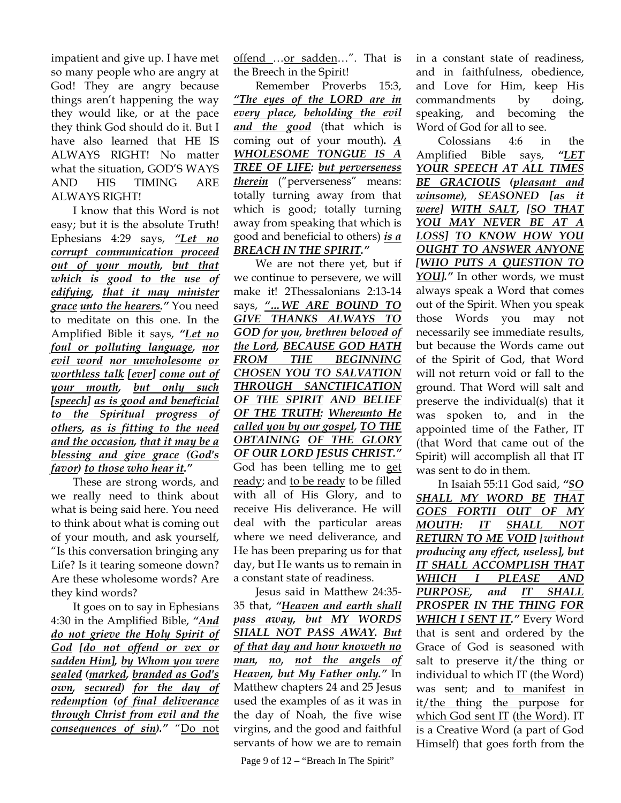impatient and give up. I have met so many people who are angry at God! They are angry because things aren't happening the way they would like, or at the pace they think God should do it. But I have also learned that HE IS ALWAYS RIGHT! No matter what the situation, GOD'S WAYS AND HIS TIMING ARE ALWAYS RIGHT!

I know that this Word is not easy; but it is the absolute Truth! Ephesians 4:29 says, *"Let no corrupt communication proceed out of your mouth, but that which is good to the use of edifying, that it may minister grace unto the hearers."* You need to meditate on this one. In the Amplified Bible it says, *"Let no foul or polluting language, nor evil word nor unwholesome or worthless talk [ever] come out of your mouth, but only such [speech] as is good and beneficial to the Spiritual progress of others, as is fitting to the need and the occasion, that it may be a blessing and give grace (God's favor) to those who hear it."* 

These are strong words, and we really need to think about what is being said here. You need to think about what is coming out of your mouth, and ask yourself, "Is this conversation bringing any Life? Is it tearing someone down? Are these wholesome words? Are they kind words?

It goes on to say in Ephesians 4:30 in the Amplified Bible, *"And do not grieve the Holy Spirit of God [do not offend or vex or sadden Him], by Whom you were sealed (marked, branded as God's own, secured) for the day of redemption (of final deliverance through Christ from evil and the consequences of sin)."* "Do not offend ...or sadden...". That is the Breech in the Spirit!

Remember Proverbs 15:3, *"The eyes of the LORD are in every place, beholding the evil and the good* (that which is coming out of your mouth)*. A WHOLESOME TONGUE IS A TREE OF LIFE: but perverseness therein* ("perverseness" means: totally turning away from that which is good; totally turning away from speaking that which is good and beneficial to others) *is a BREACH IN THE SPIRIT."*

We are not there yet, but if we continue to persevere, we will make it! 2Thessalonians 2:13-14 says, *"…WE ARE BOUND TO GIVE THANKS ALWAYS TO GOD for you, brethren beloved of the Lord, BECAUSE GOD HATH FROM THE BEGINNING CHOSEN YOU TO SALVATION THROUGH SANCTIFICATION OF THE SPIRIT AND BELIEF OF THE TRUTH: Whereunto He called you by our gospel, TO THE OBTAINING OF THE GLORY OF OUR LORD JESUS CHRIST."* God has been telling me to get ready; and to be ready to be filled with all of His Glory, and to receive His deliverance. He will deal with the particular areas where we need deliverance, and He has been preparing us for that day, but He wants us to remain in a constant state of readiness.

Jesus said in Matthew 24:35- 35 that, *"Heaven and earth shall pass away, but MY WORDS SHALL NOT PASS AWAY. But of that day and hour knoweth no man, no, not the angels of Heaven, but My Father only."* In Matthew chapters 24 and 25 Jesus used the examples of as it was in the day of Noah, the five wise virgins, and the good and faithful servants of how we are to remain

Page 9 of  $12$  – "Breach In The Spirit"

in a constant state of readiness, and in faithfulness, obedience, and Love for Him, keep His commandments by doing, speaking, and becoming the Word of God for all to see.

Colossians 4:6 in the Amplified Bible says, *"LET YOUR SPEECH AT ALL TIMES BE GRACIOUS (pleasant and winsome), SEASONED [as it were] WITH SALT, [SO THAT YOU MAY NEVER BE AT A LOSS] TO KNOW HOW YOU OUGHT TO ANSWER ANYONE [WHO PUTS A QUESTION TO YOU]."* In other words, we must always speak a Word that comes out of the Spirit. When you speak those Words you may not necessarily see immediate results, but because the Words came out of the Spirit of God, that Word will not return void or fall to the ground. That Word will salt and preserve the individual(s) that it was spoken to, and in the appointed time of the Father, IT (that Word that came out of the Spirit) will accomplish all that IT was sent to do in them.

In Isaiah 55:11 God said, *"SO SHALL MY WORD BE THAT GOES FORTH OUT OF MY MOUTH: IT SHALL NOT RETURN TO ME VOID [without producing any effect, useless], but IT SHALL ACCOMPLISH THAT WHICH I PLEASE AND PURPOSE, and IT SHALL PROSPER IN THE THING FOR WHICH I SENT IT."* Every Word that is sent and ordered by the Grace of God is seasoned with salt to preserve it/the thing or individual to which IT (the Word) was sent; and to manifest in it/the thing the purpose for which God sent IT (the Word). IT is a Creative Word (a part of God Himself) that goes forth from the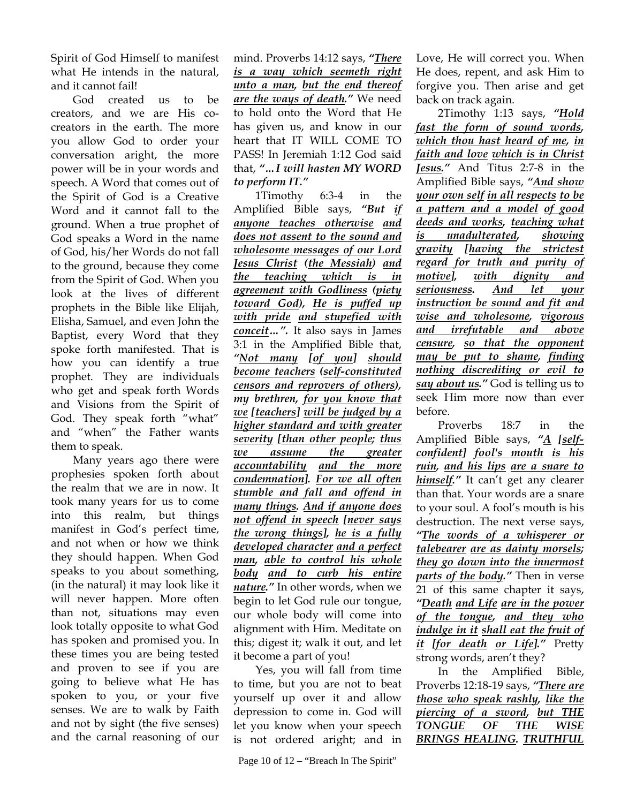Spirit of God Himself to manifest what He intends in the natural, and it cannot fail!

God created us to be creators, and we are His cocreators in the earth. The more you allow God to order your conversation aright, the more power will be in your words and speech. A Word that comes out of the Spirit of God is a Creative Word and it cannot fall to the ground. When a true prophet of God speaks a Word in the name of God, his/her Words do not fall to the ground, because they come from the Spirit of God. When you look at the lives of different prophets in the Bible like Elijah, Elisha, Samuel, and even John the Baptist, every Word that they spoke forth manifested. That is how you can identify a true prophet. They are individuals who get and speak forth Words and Visions from the Spirit of God. They speak forth "what" and "when" the Father wants them to speak.

Many years ago there were prophesies spoken forth about the realm that we are in now. It took many years for us to come into this realm, but things manifest in God's perfect time, and not when or how we think they should happen. When God speaks to you about something, (in the natural) it may look like it will never happen. More often than not, situations may even look totally opposite to what God has spoken and promised you. In these times you are being tested and proven to see if you are going to believe what He has spoken to you, or your five senses. We are to walk by Faith and not by sight (the five senses) and the carnal reasoning of our

mind. Proverbs 14:12 says, *"There is a way which seemeth right unto a man, but the end thereof are the ways of death."* We need to hold onto the Word that He has given us, and know in our heart that IT WILL COME TO PASS! In Jeremiah 1:12 God said that, *"…I will hasten MY WORD to perform IT."*

1Timothy 6:3-4 in the Amplified Bible says, *"But if anyone teaches otherwise and does not assent to the sound and wholesome messages of our Lord Jesus Christ (the Messiah) and the teaching which is in agreement with Godliness (piety toward God), He is puffed up with pride and stupefied with conceit…".* It also says in James 3:1 in the Amplified Bible that, *"Not many [of you] should become teachers (self-constituted censors and reprovers of others), my brethren, for you know that we [teachers] will be judged by a higher standard and with greater severity [than other people; thus we assume the greater accountability and the more condemnation]. For we all often stumble and fall and offend in many things. And if anyone does not offend in speech [never says the wrong things], he is a fully developed character and a perfect man, able to control his whole body and to curb his entire nature."* In other words, when we begin to let God rule our tongue, our whole body will come into alignment with Him. Meditate on this; digest it; walk it out, and let it become a part of you!

Yes, you will fall from time to time, but you are not to beat yourself up over it and allow depression to come in. God will let you know when your speech is not ordered aright; and in Love, He will correct you. When He does, repent, and ask Him to forgive you. Then arise and get back on track again.

2Timothy 1:13 says, *"Hold fast the form of sound words, which thou hast heard of me, in faith and love which is in Christ Jesus."* And Titus 2:7-8 in the Amplified Bible says, *"And show your own self in all respects to be a pattern and a model of good deeds and works, teaching what is unadulterated, showing gravity [having the strictest regard for truth and purity of motive], with dignity and seriousness. And let your instruction be sound and fit and wise and wholesome, vigorous and irrefutable and above censure, so that the opponent may be put to shame, finding nothing discrediting or evil to say about us."* God is telling us to seek Him more now than ever before.

Proverbs 18:7 in the Amplified Bible says, *"A [selfconfident] fool's mouth is his ruin, and his lips are a snare to himself."* It can't get any clearer than that. Your words are a snare to your soul. A fool's mouth is his destruction. The next verse says, *"The words of a whisperer or talebearer are as dainty morsels; they go down into the innermost parts of the body."* Then in verse 21 of this same chapter it says, *"Death and Life are in the power of the tongue, and they who indulge in it shall eat the fruit of it [for death or Life]."* Pretty strong words, aren't they?

In the Amplified Bible, Proverbs 12:18-19 says, *"There are those who speak rashly, like the piercing of a sword, but THE TONGUE OF THE WISE BRINGS HEALING. TRUTHFUL*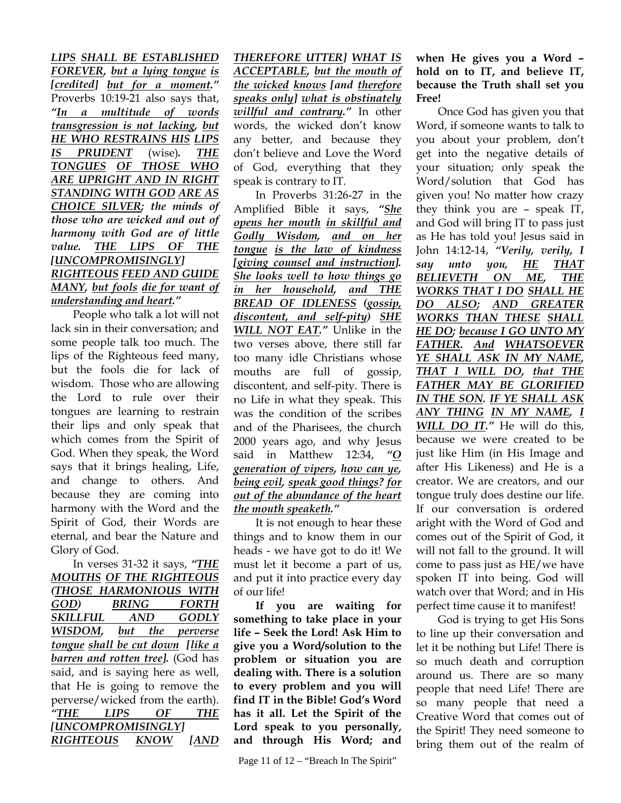*LIPS SHALL BE ESTABLISHED FOREVER, but a lying tongue is [credited] but for a moment."* Proverbs 10:19-21 also says that, *"In a multitude of words transgression is not lacking, but HE WHO RESTRAINS HIS LIPS IS PRUDENT* (wise)*. THE TONGUES OF THOSE WHO ARE UPRIGHT AND IN RIGHT STANDING WITH GOD ARE AS CHOICE SILVER; the minds of those who are wicked and out of harmony with God are of little value. THE LIPS OF THE [UNCOMPROMISINGLY] RIGHTEOUS FEED AND GUIDE MANY, but fools die for want of understanding and heart."* 

People who talk a lot will not lack sin in their conversation; and some people talk too much. The lips of the Righteous feed many, but the fools die for lack of wisdom. Those who are allowing the Lord to rule over their tongues are learning to restrain their lips and only speak that which comes from the Spirit of God. When they speak, the Word says that it brings healing, Life, and change to others. And because they are coming into harmony with the Word and the Spirit of God, their Words are eternal, and bear the Nature and Glory of God.

In verses 31-32 it says, *"THE MOUTHS OF THE RIGHTEOUS (THOSE HARMONIOUS WITH GOD) BRING FORTH SKILLFUL AND GODLY WISDOM, but the perverse tongue shall be cut down [like a barren and rotten tree].* (God has said, and is saying here as well, that He is going to remove the perverse/wicked from the earth). *"THE LIPS OF THE [UNCOMPROMISINGLY] RIGHTEOUS KNOW [AND* 

*THEREFORE UTTER] WHAT IS ACCEPTABLE, but the mouth of the wicked knows [and therefore speaks only] what is obstinately willful and contrary."* In other words, the wicked don't know any better, and because they don't believe and Love the Word of God, everything that they speak is contrary to IT.

In Proverbs 31:26-27 in the Amplified Bible it says, *"She opens her mouth in skillful and Godly Wisdom, and on her tongue is the law of kindness [giving counsel and instruction]. She looks well to how things go in her household, and THE BREAD OF IDLENESS (gossip, discontent, and self-pity) SHE WILL NOT EAT."* Unlike in the two verses above, there still far too many idle Christians whose mouths are full of gossip, discontent, and self-pity. There is no Life in what they speak. This was the condition of the scribes and of the Pharisees, the church 2000 years ago, and why Jesus said in Matthew 12:34, *"O generation of vipers, how can ye, being evil, speak good things? for out of the abundance of the heart the mouth speaketh."* 

It is not enough to hear these things and to know them in our heads - we have got to do it! We must let it become a part of us, and put it into practice every day of our life!

**If you are waiting for something to take place in your life – Seek the Lord! Ask Him to give you a Word/solution to the problem or situation you are dealing with. There is a solution to every problem and you will find IT in the Bible! God's Word has it all. Let the Spirit of the Lord speak to you personally, and through His Word; and** 

## **when He gives you a Word – hold on to IT, and believe IT, because the Truth shall set you Free!**

Once God has given you that Word, if someone wants to talk to you about your problem, don't get into the negative details of your situation; only speak the Word/solution that God has given you! No matter how crazy they think you are – speak IT, and God will bring IT to pass just as He has told you! Jesus said in John 14:12-14, *"Verily, verily, I say unto you, HE THAT BELIEVETH ON ME, THE WORKS THAT I DO SHALL HE DO ALSO; AND GREATER WORKS THAN THESE SHALL HE DO; because I GO UNTO MY FATHER. And WHATSOEVER YE SHALL ASK IN MY NAME, THAT I WILL DO, that THE FATHER MAY BE GLORIFIED IN THE SON. IF YE SHALL ASK ANY THING IN MY NAME, I WILL DO IT."* He will do this, because we were created to be just like Him (in His Image and after His Likeness) and He is a creator. We are creators, and our tongue truly does destine our life. If our conversation is ordered aright with the Word of God and comes out of the Spirit of God, it will not fall to the ground. It will come to pass just as HE/we have spoken IT into being. God will watch over that Word; and in His perfect time cause it to manifest!

God is trying to get His Sons to line up their conversation and let it be nothing but Life! There is so much death and corruption around us. There are so many people that need Life! There are so many people that need a Creative Word that comes out of the Spirit! They need someone to bring them out of the realm of